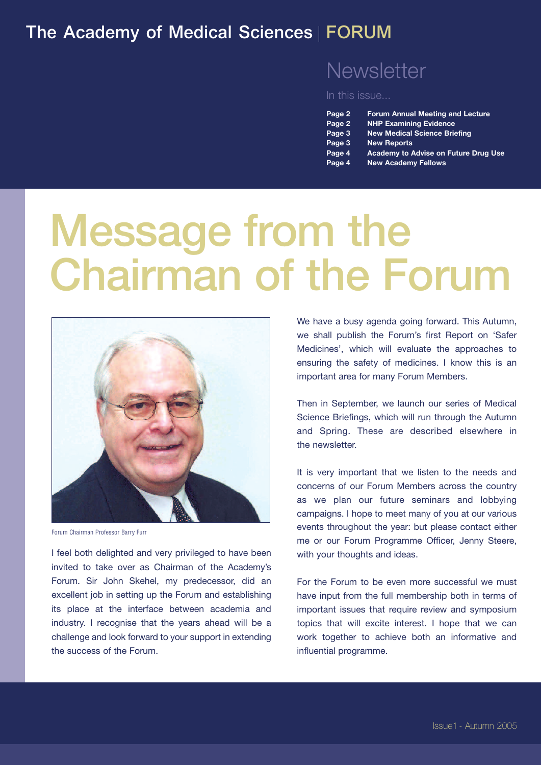#### The Academy of Medical Sciences | FORUM

#### **Newsletter**

In this issue...

| Page 2 | <b>Forum Annual Meeting and Lecture</b> |
|--------|-----------------------------------------|
| Page 2 | <b>NHP Examining Evidence</b>           |
| Page 3 | <b>New Medical Science Briefing</b>     |

- **Page 3 New Reports**
- **Page 4 Academy to Advise on Future Drug Use**
- **Page 4 New Academy Fellows**

# Message from the Chairman of the Forum



Forum Chairman Professor Barry Furr

I feel both delighted and very privileged to have been invited to take over as Chairman of the Academy's Forum. Sir John Skehel, my predecessor, did an excellent job in setting up the Forum and establishing its place at the interface between academia and industry. I recognise that the years ahead will be a challenge and look forward to your support in extending the success of the Forum.

We have a busy agenda going forward. This Autumn, we shall publish the Forum's first Report on 'Safer Medicines', which will evaluate the approaches to ensuring the safety of medicines. I know this is an important area for many Forum Members.

Then in September, we launch our series of Medical Science Briefings, which will run through the Autumn and Spring. These are described elsewhere in the newsletter.

It is very important that we listen to the needs and concerns of our Forum Members across the country as we plan our future seminars and lobbying campaigns. I hope to meet many of you at our various events throughout the year: but please contact either me or our Forum Programme Officer, Jenny Steere, with your thoughts and ideas.

For the Forum to be even more successful we must have input from the full membership both in terms of important issues that require review and symposium topics that will excite interest. I hope that we can work together to achieve both an informative and influential programme.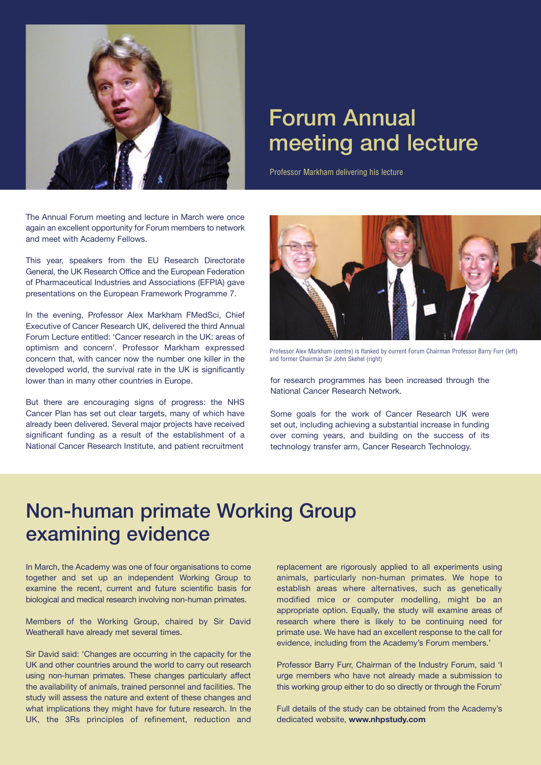

# Forum Annual meeting and lecture

Professor Markham delivering his lecture

The Annual Forum meeting and lecture in March were once again an excellent opportunity for Forum members to network and meet with Academy Fellows.

This year, speakers from the EU Research Directorate General, the UK Research Office and the European Federation of Pharmaceutical Industries and Associations (EFPIA) gave presentations on the European Framework Programme 7.

In the evening, Professor Alex Markham FMedSci, Chief Executive of Cancer Research UK, delivered the third Annual Forum Lecture entitled: 'Cancer research in the UK: areas of optimism and concern'. Professor Markham expressed concern that, with cancer now the number one killer in the developed world, the survival rate in the UK is significantly lower than in many other countries in Europe.

But there are encouraging signs of progress: the NHS Cancer Plan has set out clear targets, many of which have already been delivered. Several major projects have received significant funding as a result of the establishment of a National Cancer Research Institute, and patient recruitment



Professor Alex Markham (centre) is flanked by current Forum Chairman Professor Barry Furr (left) and former Chairman Sir John Skehel (right)

for research programmes has been increased through the National Cancer Research Network.

Some goals for the work of Cancer Research UK were set out, including achieving a substantial increase in funding over coming years, and building on the success of its technology transfer arm, Cancer Research Technology.

#### Non-human primate Working Group examining evidence

In March, the Academy was one of four organisations to come together and set up an independent Working Group to examine the recent, current and future scientific basis for biological and medical research involving non-human primates.

Members of the Working Group, chaired by Sir David Weatherall have already met several times.

Sir David said: 'Changes are occurring in the capacity for the UK and other countries around the world to carry out research using non-human primates. These changes particularly affect the availability of animals, trained personnel and facilities. The study will assess the nature and extent of these changes and what implications they might have for future research. In the UK, the 3Rs principles of refinement, reduction and

replacement are rigorously applied to all experiments using animals, particularly non-human primates. We hope to establish areas where alternatives, such as genetically modified mice or computer modelling, might be an appropriate option. Equally, the study will examine areas of research where there is likely to be continuing need for primate use. We have had an excellent response to the call for evidence, including from the Academy's Forum members.'

Professor Barry Furr, Chairman of the Industry Forum, said 'I urge members who have not already made a submission to this working group either to do so directly or through the Forum'

Full details of the study can be obtained from the Academy's dedicated website, **www.nhpstudy.com**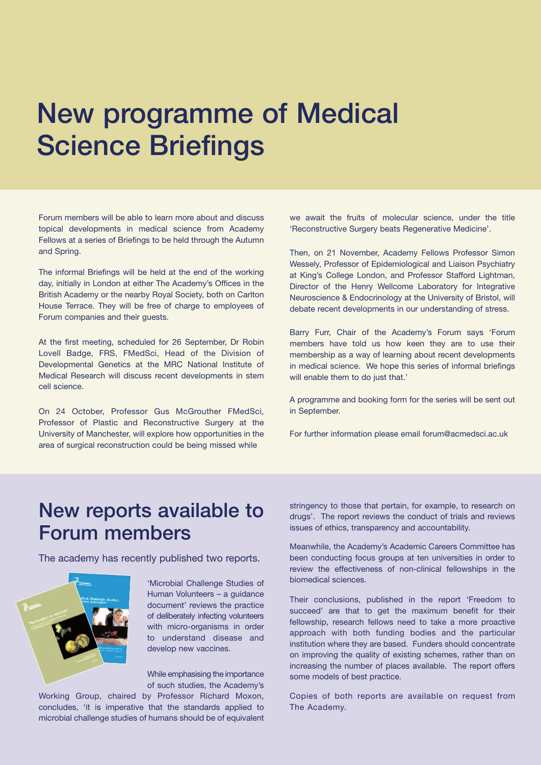# New programme of Medical Science Briefings

Forum members will be able to learn more about and discuss topical developments in medical science from Academy Fellows at a series of Briefings to be held through the Autumn and Spring.

The informal Briefings will be held at the end of the working day, initially in London at either The Academy's Offices in the British Academy or the nearby Royal Society, both on Carlton House Terrace. They will be free of charge to employees of Forum companies and their guests.

At the first meeting, scheduled for 26 September, Dr Robin Lovell Badge, FRS, FMedSci, Head of the Division of Developmental Genetics at the MRC National Institute of Medical Research will discuss recent developments in stem cell science.

On 24 October, Professor Gus McGrouther FMedSci, Professor of Plastic and Reconstructive Surgery at the University of Manchester, will explore how opportunities in the area of surgical reconstruction could be being missed while

we await the fruits of molecular science, under the title 'Reconstructive Surgery beats Regenerative Medicine'.

Then, on 21 November, Academy Fellows Professor Simon Wessely, Professor of Epidemiological and Liaison Psychiatry at King's College London, and Professor Stafford Lightman, Director of the Henry Wellcome Laboratory for Integrative Neuroscience & Endocrinology at the University of Bristol, will debate recent developments in our understanding of stress.

Barry Furr, Chair of the Academy's Forum says 'Forum members have told us how keen they are to use their membership as a way of learning about recent developments in medical science. We hope this series of informal briefings will enable them to do just that.'

A programme and booking form for the series will be sent out in September.

For further information please email forum@acmedsci.ac.uk

#### New reports available to Forum members

The academy has recently published two reports.



'Microbial Challenge Studies of Human Volunteers – a guidance document' reviews the practice of deliberately infecting volunteers with micro-organisms in order to understand disease and develop new vaccines.

While emphasising the importance of such studies, the Academy's

Working Group, chaired by Professor Richard Moxon, concludes, 'it is imperative that the standards applied to microbial challenge studies of humans should be of equivalent

stringency to those that pertain, for example, to research on drugs'. The report reviews the conduct of trials and reviews issues of ethics, transparency and accountability.

Meanwhile, the Academy's Academic Careers Committee has been conducting focus groups at ten universities in order to review the effectiveness of non-clinical fellowships in the biomedical sciences.

Their conclusions, published in the report 'Freedom to succeed' are that to get the maximum benefit for their fellowship, research fellows need to take a more proactive approach with both funding bodies and the particular institution where they are based. Funders should concentrate on improving the quality of existing schemes, rather than on increasing the number of places available. The report offers some models of best practice.

Copies of both reports are available on request from The Academy.